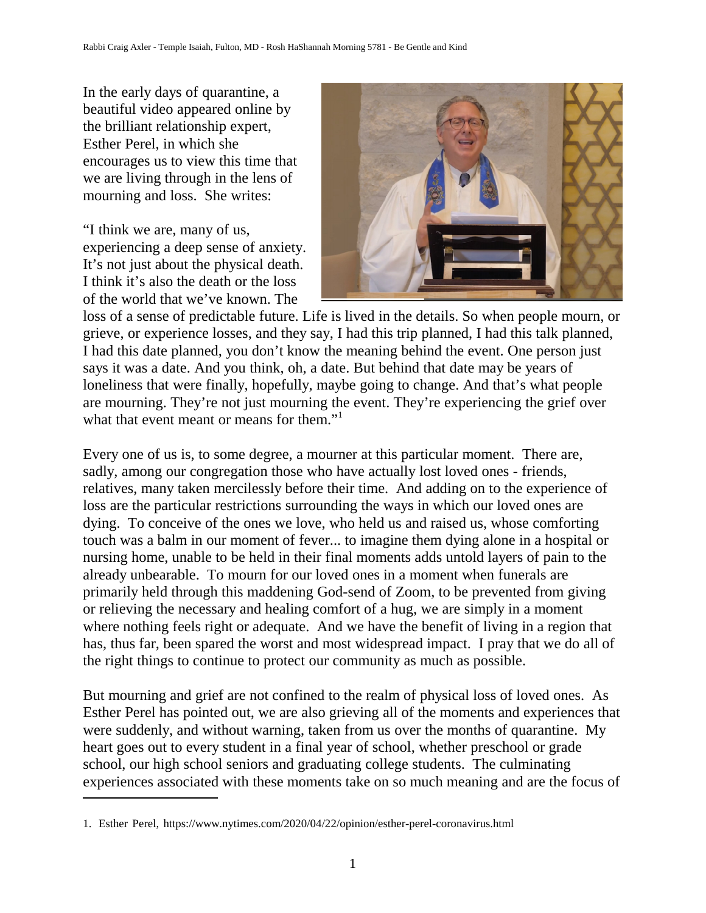In the early days of quarantine, a beautiful video appeared online by the brilliant relationship expert, Esther Perel, in which she encourages us to view this time that we are living through in the lens of mourning and loss. She writes:

"I think we are, many of us, experiencing a deep sense of anxiety. It's not just about the physical death. I think it's also the death or the loss of the world that we've known. The



loss of a sense of predictable future. Life is lived in the details. So when people mourn, or grieve, or experience losses, and they say, I had this trip planned, I had this talk planned, I had this date planned, you don't know the meaning behind the event. One person just says it was a date. And you think, oh, a date. But behind that date may be years of loneliness that were finally, hopefully, maybe going to change. And that's what people are mourning. They're not just mourning the event. They're experiencing the grief over what that event meant or means for them."<sup>1</sup>

Every one of us is, to some degree, a mourner at this particular moment. There are, sadly, among our congregation those who have actually lost loved ones - friends, relatives, many taken mercilessly before their time. And adding on to the experience of loss are the particular restrictions surrounding the ways in which our loved ones are dying. To conceive of the ones we love, who held us and raised us, whose comforting touch was a balm in our moment of fever... to imagine them dying alone in a hospital or nursing home, unable to be held in their final moments adds untold layers of pain to the already unbearable. To mourn for our loved ones in a moment when funerals are primarily held through this maddening God-send of Zoom, to be prevented from giving or relieving the necessary and healing comfort of a hug, we are simply in a moment where nothing feels right or adequate. And we have the benefit of living in a region that has, thus far, been spared the worst and most widespread impact. I pray that we do all of the right things to continue to protect our community as much as possible.

But mourning and grief are not confined to the realm of physical loss of loved ones. As Esther Perel has pointed out, we are also grieving all of the moments and experiences that were suddenly, and without warning, taken from us over the months of quarantine. My heart goes out to every student in a final year of school, whether preschool or grade school, our high school seniors and graduating college students. The culminating experiences associated with these moments take on so much meaning and are the focus of

<sup>1.</sup> Esther Perel, https://www.nytimes.com/2020/04/22/opinion/esther-perel-coronavirus.html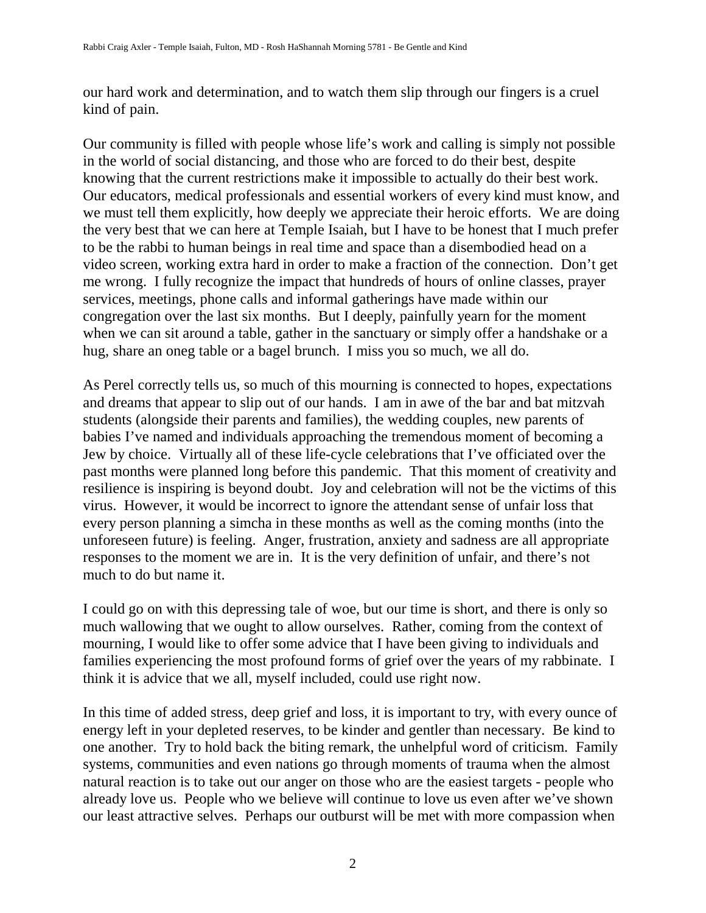our hard work and determination, and to watch them slip through our fingers is a cruel kind of pain.

Our community is filled with people whose life's work and calling is simply not possible in the world of social distancing, and those who are forced to do their best, despite knowing that the current restrictions make it impossible to actually do their best work. Our educators, medical professionals and essential workers of every kind must know, and we must tell them explicitly, how deeply we appreciate their heroic efforts. We are doing the very best that we can here at Temple Isaiah, but I have to be honest that I much prefer to be the rabbi to human beings in real time and space than a disembodied head on a video screen, working extra hard in order to make a fraction of the connection. Don't get me wrong. I fully recognize the impact that hundreds of hours of online classes, prayer services, meetings, phone calls and informal gatherings have made within our congregation over the last six months. But I deeply, painfully yearn for the moment when we can sit around a table, gather in the sanctuary or simply offer a handshake or a hug, share an oneg table or a bagel brunch. I miss you so much, we all do.

As Perel correctly tells us, so much of this mourning is connected to hopes, expectations and dreams that appear to slip out of our hands. I am in awe of the bar and bat mitzvah students (alongside their parents and families), the wedding couples, new parents of babies I've named and individuals approaching the tremendous moment of becoming a Jew by choice. Virtually all of these life-cycle celebrations that I've officiated over the past months were planned long before this pandemic. That this moment of creativity and resilience is inspiring is beyond doubt. Joy and celebration will not be the victims of this virus. However, it would be incorrect to ignore the attendant sense of unfair loss that every person planning a simcha in these months as well as the coming months (into the unforeseen future) is feeling. Anger, frustration, anxiety and sadness are all appropriate responses to the moment we are in. It is the very definition of unfair, and there's not much to do but name it.

I could go on with this depressing tale of woe, but our time is short, and there is only so much wallowing that we ought to allow ourselves. Rather, coming from the context of mourning, I would like to offer some advice that I have been giving to individuals and families experiencing the most profound forms of grief over the years of my rabbinate. I think it is advice that we all, myself included, could use right now.

In this time of added stress, deep grief and loss, it is important to try, with every ounce of energy left in your depleted reserves, to be kinder and gentler than necessary. Be kind to one another. Try to hold back the biting remark, the unhelpful word of criticism. Family systems, communities and even nations go through moments of trauma when the almost natural reaction is to take out our anger on those who are the easiest targets - people who already love us. People who we believe will continue to love us even after we've shown our least attractive selves. Perhaps our outburst will be met with more compassion when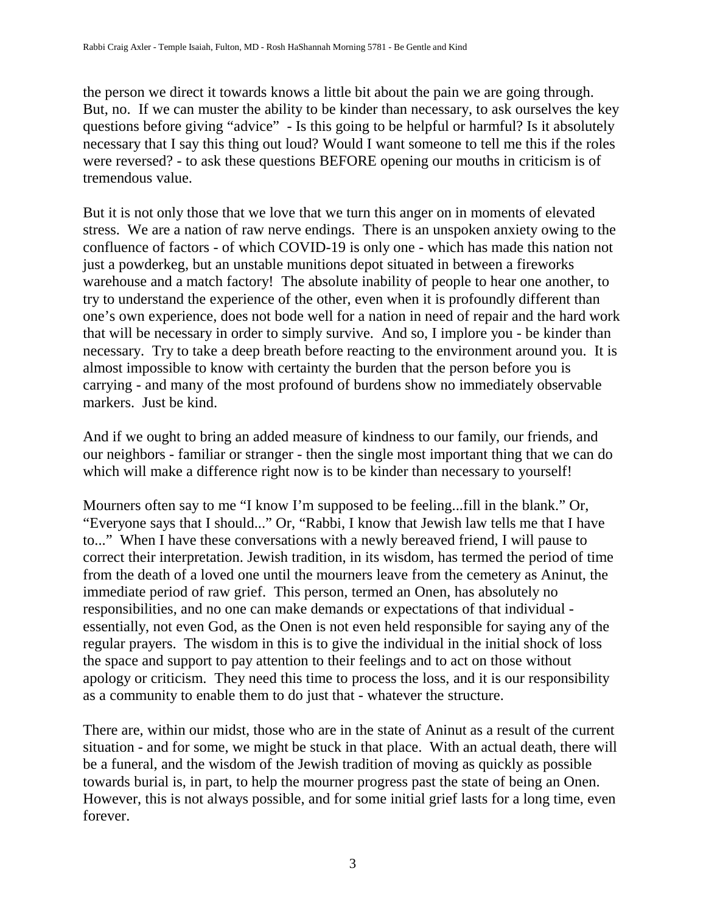the person we direct it towards knows a little bit about the pain we are going through. But, no. If we can muster the ability to be kinder than necessary, to ask ourselves the key questions before giving "advice" - Is this going to be helpful or harmful? Is it absolutely necessary that I say this thing out loud? Would I want someone to tell me this if the roles were reversed? - to ask these questions BEFORE opening our mouths in criticism is of tremendous value.

But it is not only those that we love that we turn this anger on in moments of elevated stress. We are a nation of raw nerve endings. There is an unspoken anxiety owing to the confluence of factors - of which COVID-19 is only one - which has made this nation not just a powderkeg, but an unstable munitions depot situated in between a fireworks warehouse and a match factory! The absolute inability of people to hear one another, to try to understand the experience of the other, even when it is profoundly different than one's own experience, does not bode well for a nation in need of repair and the hard work that will be necessary in order to simply survive. And so, I implore you - be kinder than necessary. Try to take a deep breath before reacting to the environment around you. It is almost impossible to know with certainty the burden that the person before you is carrying - and many of the most profound of burdens show no immediately observable markers. Just be kind.

And if we ought to bring an added measure of kindness to our family, our friends, and our neighbors - familiar or stranger - then the single most important thing that we can do which will make a difference right now is to be kinder than necessary to yourself!

Mourners often say to me "I know I'm supposed to be feeling...fill in the blank." Or, "Everyone says that I should..." Or, "Rabbi, I know that Jewish law tells me that I have to..." When I have these conversations with a newly bereaved friend, I will pause to correct their interpretation. Jewish tradition, in its wisdom, has termed the period of time from the death of a loved one until the mourners leave from the cemetery as Aninut, the immediate period of raw grief. This person, termed an Onen, has absolutely no responsibilities, and no one can make demands or expectations of that individual essentially, not even God, as the Onen is not even held responsible for saying any of the regular prayers. The wisdom in this is to give the individual in the initial shock of loss the space and support to pay attention to their feelings and to act on those without apology or criticism. They need this time to process the loss, and it is our responsibility as a community to enable them to do just that - whatever the structure.

There are, within our midst, those who are in the state of Aninut as a result of the current situation - and for some, we might be stuck in that place. With an actual death, there will be a funeral, and the wisdom of the Jewish tradition of moving as quickly as possible towards burial is, in part, to help the mourner progress past the state of being an Onen. However, this is not always possible, and for some initial grief lasts for a long time, even forever.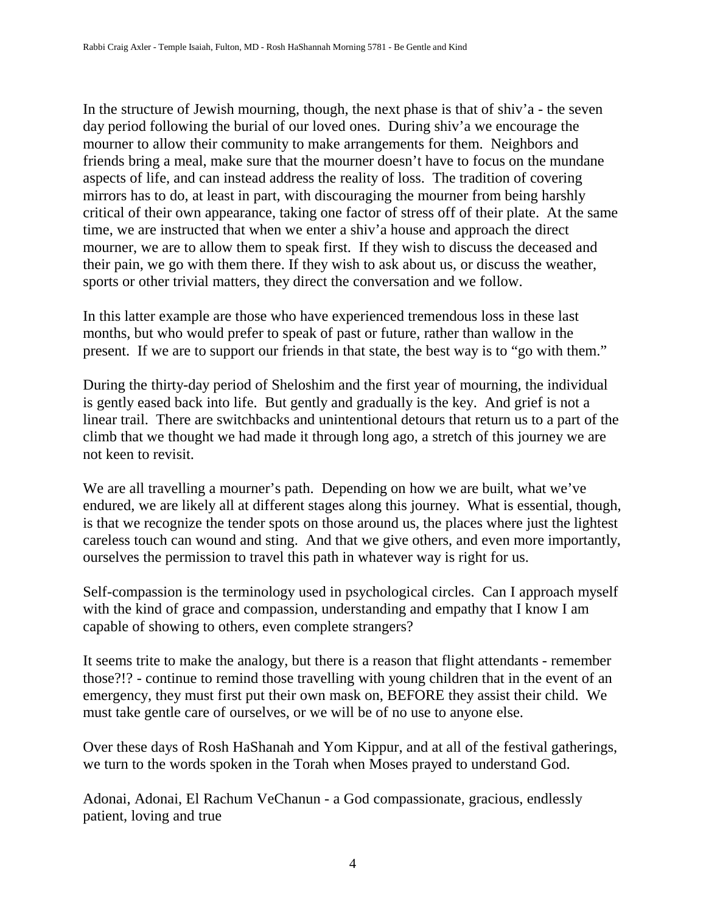In the structure of Jewish mourning, though, the next phase is that of shiv'a - the seven day period following the burial of our loved ones. During shiv'a we encourage the mourner to allow their community to make arrangements for them. Neighbors and friends bring a meal, make sure that the mourner doesn't have to focus on the mundane aspects of life, and can instead address the reality of loss. The tradition of covering mirrors has to do, at least in part, with discouraging the mourner from being harshly critical of their own appearance, taking one factor of stress off of their plate. At the same time, we are instructed that when we enter a shiv'a house and approach the direct mourner, we are to allow them to speak first. If they wish to discuss the deceased and their pain, we go with them there. If they wish to ask about us, or discuss the weather, sports or other trivial matters, they direct the conversation and we follow.

In this latter example are those who have experienced tremendous loss in these last months, but who would prefer to speak of past or future, rather than wallow in the present. If we are to support our friends in that state, the best way is to "go with them."

During the thirty-day period of Sheloshim and the first year of mourning, the individual is gently eased back into life. But gently and gradually is the key. And grief is not a linear trail. There are switchbacks and unintentional detours that return us to a part of the climb that we thought we had made it through long ago, a stretch of this journey we are not keen to revisit.

We are all travelling a mourner's path. Depending on how we are built, what we've endured, we are likely all at different stages along this journey. What is essential, though, is that we recognize the tender spots on those around us, the places where just the lightest careless touch can wound and sting. And that we give others, and even more importantly, ourselves the permission to travel this path in whatever way is right for us.

Self-compassion is the terminology used in psychological circles. Can I approach myself with the kind of grace and compassion, understanding and empathy that I know I am capable of showing to others, even complete strangers?

It seems trite to make the analogy, but there is a reason that flight attendants - remember those?!? - continue to remind those travelling with young children that in the event of an emergency, they must first put their own mask on, BEFORE they assist their child. We must take gentle care of ourselves, or we will be of no use to anyone else.

Over these days of Rosh HaShanah and Yom Kippur, and at all of the festival gatherings, we turn to the words spoken in the Torah when Moses prayed to understand God.

Adonai, Adonai, El Rachum VeChanun - a God compassionate, gracious, endlessly patient, loving and true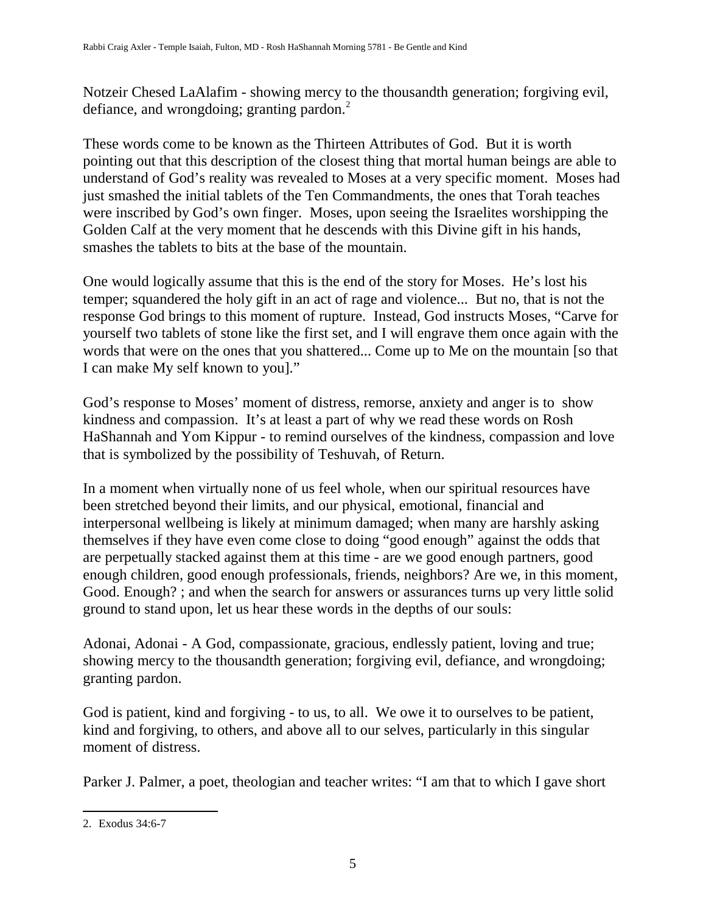Notzeir Chesed LaAlafim - showing mercy to the thousandth generation; forgiving evil, defiance, and wrongdoing; granting pardon.<sup>2</sup>

These words come to be known as the Thirteen Attributes of God. But it is worth pointing out that this description of the closest thing that mortal human beings are able to understand of God's reality was revealed to Moses at a very specific moment. Moses had just smashed the initial tablets of the Ten Commandments, the ones that Torah teaches were inscribed by God's own finger. Moses, upon seeing the Israelites worshipping the Golden Calf at the very moment that he descends with this Divine gift in his hands, smashes the tablets to bits at the base of the mountain.

One would logically assume that this is the end of the story for Moses. He's lost his temper; squandered the holy gift in an act of rage and violence... But no, that is not the response God brings to this moment of rupture. Instead, God instructs Moses, "Carve for yourself two tablets of stone like the first set, and I will engrave them once again with the words that were on the ones that you shattered... Come up to Me on the mountain [so that I can make My self known to you]."

God's response to Moses' moment of distress, remorse, anxiety and anger is to show kindness and compassion. It's at least a part of why we read these words on Rosh HaShannah and Yom Kippur - to remind ourselves of the kindness, compassion and love that is symbolized by the possibility of Teshuvah, of Return.

In a moment when virtually none of us feel whole, when our spiritual resources have been stretched beyond their limits, and our physical, emotional, financial and interpersonal wellbeing is likely at minimum damaged; when many are harshly asking themselves if they have even come close to doing "good enough" against the odds that are perpetually stacked against them at this time - are we good enough partners, good enough children, good enough professionals, friends, neighbors? Are we, in this moment, Good. Enough? ; and when the search for answers or assurances turns up very little solid ground to stand upon, let us hear these words in the depths of our souls:

Adonai, Adonai - A God, compassionate, gracious, endlessly patient, loving and true; showing mercy to the thousandth generation; forgiving evil, defiance, and wrongdoing; granting pardon.

God is patient, kind and forgiving - to us, to all. We owe it to ourselves to be patient, kind and forgiving, to others, and above all to our selves, particularly in this singular moment of distress.

Parker J. Palmer, a poet, theologian and teacher writes: "I am that to which I gave short

<sup>2.</sup> Exodus 34:6-7